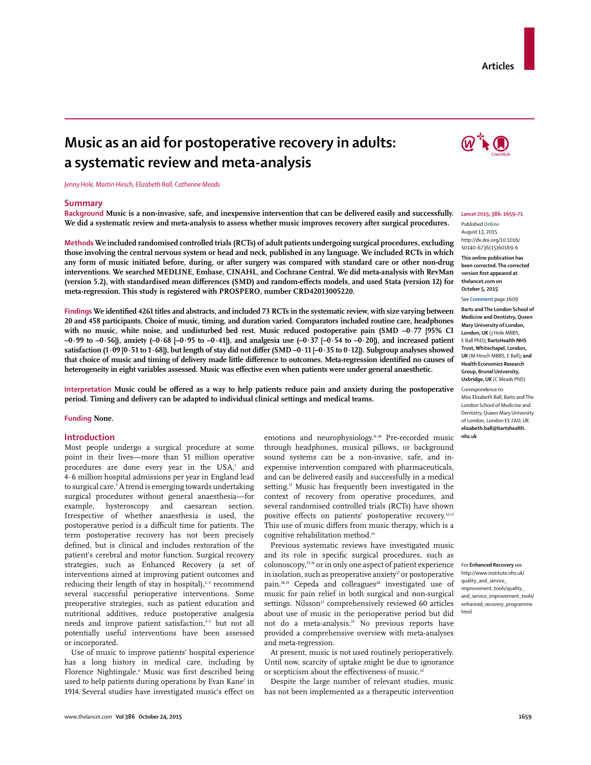# **Music as an aid for postoperative recovery in adults: a systematic review and meta-analysis**

*Jenny Hole, Martin Hirsch, Elizabeth Ball, Catherine Meads*

#### **Summary**

**Background Music is a non-invasive, safe, and inexpensive intervention that can be delivered easily and successfully.**  *Lancet* **2015; 386: 1659–71 We did a systematic review and meta-analysis to assess whether music improves recovery after surgical procedures.**

**Methods We included randomised controlled trials (RCTs) of adult patients undergoing surgical procedures, excluding those involving the central nervous system or head and neck, published in any language. We included RCTs in which any form of music initiated before, during, or after surgery was compared with standard care or other non-drug interventions. We searched MEDLINE, Embase, CINAHL, and Cochrane Central. We did meta-analysis with RevMan (version 5.2), with standardised mean diff erences (SMD) and random-eff ects models, and used Stata (version 12) for meta-regression. This study is registered with PROSPERO, number CRD42013005220.**

Findings We identified 4261 titles and abstracts, and included 73 RCTs in the systematic review, with size varying between **20 and 458 participants. Choice of music, timing, and duration varied. Comparators included routine care, headphones with no music, white noise, and undisturbed bed rest. Music reduced postoperative pain (SMD –0·77 [95% CI –0·99 to –0·56]), anxiety (–0·68 [–0·95 to –0·41]), and analgesia use (–0·37 [–0·54 to –0·20]), and increased patient**  satisfaction (1·09 [0·51 to 1·68]), but length of stay did not differ (SMD –0·11 [–0·35 to 0·12]). Subgroup analyses showed that choice of music and timing of delivery made little difference to outcomes. Meta-regression identified no causes of **heterogeneity in eight variables assessed. Music was eff ective even when patients were under general anaesthetic.**

**Interpretation Music could be offered as a way to help patients reduce pain and anxiety during the postoperative period. Timing and delivery can be adapted to individual clinical settings and medical teams.**

### **Funding None.**

#### **Introduction**

Most people undergo a surgical procedure at some point in their lives—more than 51 million operative procedures are done every year in the USA,<sup>1</sup> and 4·6 million hospital admissions per year in England lead to surgical care.<sup>2</sup> A trend is emerging towards undertaking surgical procedures without general anaesthesia—for example, hysteroscopy and caesarean section. Irrespective of whether anaesthesia is used, the postoperative period is a difficult time for patients. The term postoperative recovery has not been precisely defined, but is clinical and includes restoration of the patient's cerebral and motor function. Surgical recovery strategies, such as Enhanced Recovery (a set of interventions aimed at improving patient outcomes and reducing their length of stay in hospital),<sup>3-5</sup> recommend several successful perioperative interventions. Some preoperative strategies, such as patient education and nutritional additives, reduce postoperative analgesia needs and improve patient satisfaction,<sup>3-5</sup> but not all potentially useful interventions have been assessed or incorporated.

Use of music to improve patients' hospital experience has a long history in medical care, including by Florence Nightingale.<sup>6</sup> Music was first described being used to help patients during operations by Evan Kane<sup>7</sup> in 1914. Several studies have investigated music's effect on

emotions and neurophysiology.<sup>8-10</sup> Pre-recorded music through headphones, musical pillows, or background sound systems can be a non-invasive, safe, and inexpensive intervention compared with pharmaceuticals, and can be delivered easily and successfully in a medical setting.<sup>11</sup> Music has frequently been investigated in the context of recovery from operative procedures, and several randomised controlled trials (RCTs) have shown positive effects on patients' postoperative recovery.<sup>12,13</sup> This use of music differs from music therapy, which is a cognitive rehabilitation method.<sup>14</sup>

Previous systematic reviews have investigated music and its role in specific surgical procedures, such as  $\mathop{\rm colonoscopy}\nolimits^{\mathop{\rm \tt ,15,16}}$  or in only one aspect of patient experience in isolation, such as preoperative anxiety<sup>17</sup> or postoperative pain. $18,19$  Cepeda and colleagues<sup>20</sup> investigated use of music for pain relief in both surgical and non-surgical settings. Nilsson<sup>21</sup> comprehensively reviewed 60 articles about use of music in the perioperative period but did not do a meta-analysis.<sup>21</sup> No previous reports have provided a comprehensive overview with meta-analyses and meta-regression.

At present, music is not used routinely perioperatively. Until now, scarcity of uptake might be due to ignorance or scepticism about the effectiveness of music.<sup>22</sup>

Despite the large number of relevant studies, music has not been implemented as a therapeutic intervention



Published **Online** August 13, 2015 http://dx.doi.org/10.1016/ S0140-6736(15)60169-6 **This online publication has been corrected. The corrected version first appeared at thelancet.com on October 5, 2015**

See **Comment** page 1609 **Barts and The London School of Medicine and Dentistry, Queen Mary University of London, London, UK** (J Hole MBBS, E Ball PhD)**; BartsHealth NHS Trust, Whitechapel, London, UK** (M Hirsch MBBS, E Ball)**; and Health Economics Research Group, Brunel University, Uxbridge, UK** (C Meads PhD)

Correspondence to: Miss Elizabeth Ball, Barts and The London School of Medicine and Dentistry, Queen Mary University of London, London E1 2AD, UK **elizabeth.ball@bartshealth. nhs.uk**

For **Enhanced Recovery** see http://www.institute.nhs.uk/ quality\_and\_service\_ improvement\_tools/quality\_ and\_service\_improvement\_tools/ enhanced\_recovery\_programme. html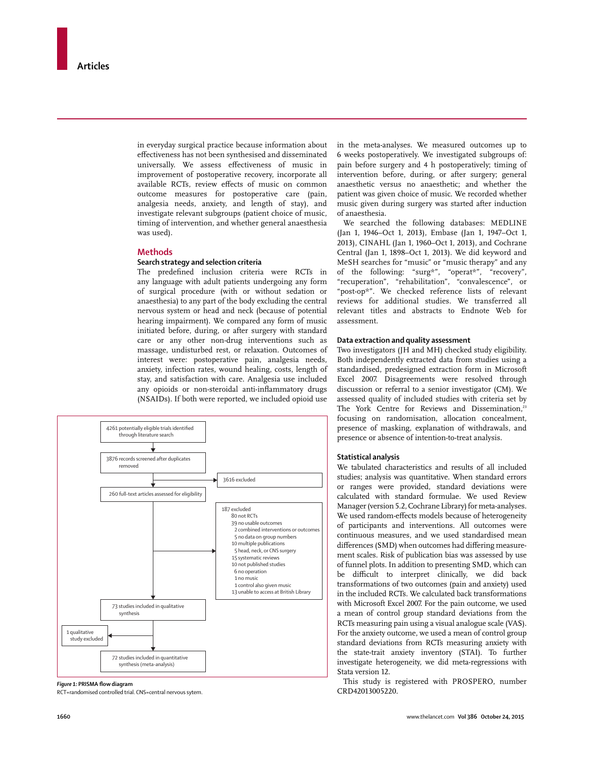in everyday surgical practice because information about effectiveness has not been synthesised and disseminated universally. We assess effectiveness of music in improvement of postoperative recovery, incorporate all available RCTs, review effects of music on common outcome measures for postoperative care (pain, analgesia needs, anxiety, and length of stay), and investigate relevant subgroups (patient choice of music, timing of intervention, and whether general anaesthesia was used).

#### **Methods**

#### **Search strategy and selection criteria**

The predefined inclusion criteria were RCTs in any language with adult patients undergoing any form of surgical procedure (with or without sedation or anaesthesia) to any part of the body excluding the central nervous system or head and neck (because of potential hearing impairment). We compared any form of music initiated before, during, or after surgery with standard care or any other non-drug interventions such as massage, undisturbed rest, or relaxation. Outcomes of interest were: postoperative pain, analgesia needs, anxiety, infection rates, wound healing, costs, length of stay, and satisfaction with care. Analgesia use included any opioids or non-steroidal anti-inflammatory drugs (NSAIDs). If both were reported, we included opioid use



*Figure 1:* **PRISMA fl ow diagram**

RCT=randomised controlled trial. CNS=central nervous sytem.

in the meta-analyses. We measured outcomes up to 6 weeks postoperatively. We investigated subgroups of: pain before surgery and 4 h postoperatively; timing of intervention before, during, or after surgery; general anaesthetic versus no anaesthetic; and whether the patient was given choice of music. We recorded whether music given during surgery was started after induction of anaesthesia.

We searched the following databases: MEDLINE (Jan 1, 1946–Oct 1, 2013), Embase (Jan 1, 1947–Oct 1, 2013), CINAHL (Jan 1, 1960–Oct 1, 2013), and Cochrane Central (Jan 1, 1898–Oct 1, 2013). We did keyword and MeSH searches for "music" or "music therapy" and any of the following: "surg\*", "operat\*", "recovery", "recuperation", "rehabilitation", "convalescence", or "post-op\*". We checked reference lists of relevant reviews for additional studies. We transferred all relevant titles and abstracts to Endnote Web for assessment.

#### **Data extraction and quality assessment**

Two investigators (JH and MH) checked study eligibility. Both independently extracted data from studies using a standardised, predesigned extraction form in Microsoft Excel 2007. Disagreements were resolved through discussion or referral to a senior investigator (CM). We assessed quality of included studies with criteria set by The York Centre for Reviews and Dissemination,<sup>23</sup> focusing on randomisation, allocation concealment, presence of masking, explanation of withdrawals, and presence or absence of intention-to-treat analysis.

# **Statistical analysis**

We tabulated characteristics and results of all included studies; analysis was quantitative. When standard errors or ranges were provided, standard deviations were calculated with standard formulae. We used Review Manager (version 5.2, Cochrane Library) for meta-analyses. We used random-effects models because of heterogeneity of participants and interventions. All outcomes were continuous measures, and we used standardised mean differences (SMD) when outcomes had differing measurement scales. Risk of publication bias was assessed by use of funnel plots. In addition to presenting SMD, which can be difficult to interpret clinically, we did back transformations of two outcomes (pain and anxiety) used in the included RCTs. We calculated back transformations with Microsoft Excel 2007. For the pain outcome, we used a mean of control group standard deviations from the RCTs measuring pain using a visual analogue scale (VAS). For the anxiety outcome, we used a mean of control group standard deviations from RCTs measuring anxiety with the state-trait anxiety inventory (STAI). To further investigate heterogeneity, we did meta-regressions with Stata version 12.

This study is registered with PROSPERO, number CRD42013005220.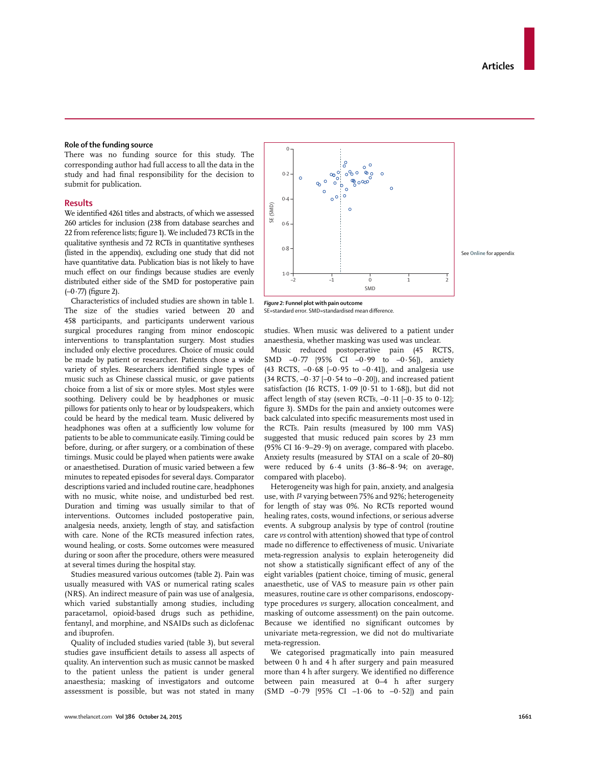# **Role of the funding source**

There was no funding source for this study. The corresponding author had full access to all the data in the study and had final responsibility for the decision to submit for publication.

#### **Results**

We identified 4261 titles and abstracts, of which we assessed 260 articles for inclusion (238 from database searches and 22 from reference lists; figure 1). We included 73 RCTs in the qualitative synthesis and 72 RCTs in quantitative syntheses (listed in the appendix), excluding one study that did not have quantitative data. Publication bias is not likely to have much effect on our findings because studies are evenly distributed either side of the SMD for postoperative pain  $(-0.77)$  (figure 2).

Characteristics of included studies are shown in table 1. The size of the studies varied between 20 and 458 participants, and participants underwent various surgical procedures ranging from minor endoscopic interventions to transplantation surgery. Most studies included only elective procedures. Choice of music could be made by patient or researcher. Patients chose a wide variety of styles. Researchers identified single types of music such as Chinese classical music, or gave patients choice from a list of six or more styles. Most styles were soothing. Delivery could be by headphones or music pillows for patients only to hear or by loudspeakers, which could be heard by the medical team. Music delivered by headphones was often at a sufficiently low volume for patients to be able to communicate easily. Timing could be before, during, or after surgery, or a combination of these timings. Music could be played when patients were awake or anaesthetised. Duration of music varied between a few minutes to repeated episodes for several days. Comparator descriptions varied and included routine care, headphones with no music, white noise, and undisturbed bed rest. Duration and timing was usually similar to that of interventions. Outcomes included postoperative pain, analgesia needs, anxiety, length of stay, and satisfaction with care. None of the RCTs measured infection rates, wound healing, or costs. Some outcomes were measured during or soon after the procedure, others were measured at several times during the hospital stay.

Studies measured various outcomes (table 2). Pain was usually measured with VAS or numerical rating scales (NRS). An indirect measure of pain was use of analgesia, which varied substantially among studies, including paracetamol, opioid-based drugs such as pethidine, fentanyl, and morphine, and NSAIDs such as diclofenac and ibuprofen.

Quality of included studies varied (table 3), but several studies gave insufficient details to assess all aspects of quality. An intervention such as music cannot be masked to the patient unless the patient is under general anaesthesia; masking of investigators and outcome assessment is possible, but was not stated in many



See **Online** for appendix

studies. When music was delivered to a patient under anaesthesia, whether masking was used was unclear.

Music reduced postoperative pain (45 RCTS, SMD  $-0.77$  [95% CI  $-0.99$  to  $-0.56$ ]), anxiety (43 RCTS,  $-0.68$  [ $-0.95$  to  $-0.41$ ]), and analgesia use (34 RCTS,  $-0.37$   $[-0.54$  to  $-0.20]$ ), and increased patient satisfaction (16 RCTS, 1·09 [0·51 to 1·68]), but did not affect length of stay (seven RCTs,  $-0.11$   $[-0.35$  to  $0.12]$ ; figure 3). SMDs for the pain and anxiety outcomes were back calculated into specific measurements most used in the RCTs. Pain results (measured by 100 mm VAS) suggested that music reduced pain scores by 23 mm (95% CI 16·9–29·9) on average, compared with placebo. Anxiety results (measured by STAI on a scale of 20–80) were reduced by 6·4 units (3·86–8·94; on average, compared with placebo).

Heterogeneity was high for pain, anxiety, and analgesia use, with *I*² varying between 75% and 92%; heterogeneity for length of stay was 0%. No RCTs reported wound healing rates, costs, wound infections, or serious adverse events. A subgroup analysis by type of control (routine care *vs* control with attention) showed that type of control made no difference to effectiveness of music. Univariate meta-regression analysis to explain heterogeneity did not show a statistically significant effect of any of the eight variables (patient choice, timing of music, general anaesthetic, use of VAS to measure pain *vs* other pain measures, routine care *vs* other comparisons, endoscopytype procedures *vs* surgery, allocation concealment, and masking of outcome assessment) on the pain outcome. Because we identified no significant outcomes by univariate meta-regression, we did not do multivariate meta-regression.

We categorised pragmatically into pain measured between 0 h and 4 h after surgery and pain measured more than 4 h after surgery. We identified no difference between pain measured at 0–4 h after surgery (SMD –0·79 [95% CI –1·06 to –0·52]) and pain

*Figure 2:* **Funnel plot with pain outcome**  SE=standard error. SMD=standardised mean difference.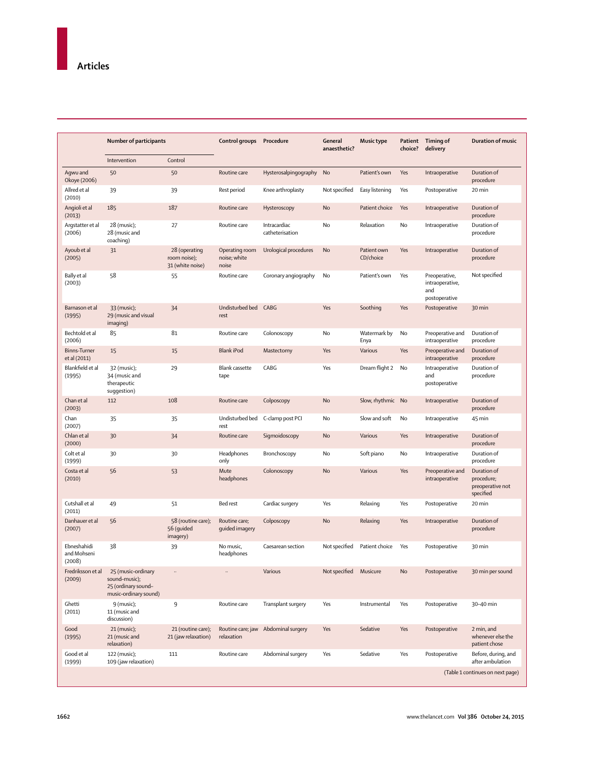|                                      | Number of participants                                                              |                                                   | Control groups                          | Procedure                       | General<br>anaesthetic? | <b>Music type</b>        | Patient<br>choice? | Timing of<br>delivery                                    | <b>Duration of music</b>                                   |
|--------------------------------------|-------------------------------------------------------------------------------------|---------------------------------------------------|-----------------------------------------|---------------------------------|-------------------------|--------------------------|--------------------|----------------------------------------------------------|------------------------------------------------------------|
|                                      | Intervention                                                                        | Control                                           |                                         |                                 |                         |                          |                    |                                                          |                                                            |
| Agwu and<br>Okoye (2006)             | 50                                                                                  | 50                                                | Routine care                            | Hysterosalpingography           | No                      | Patient's own            | Yes                | Intraoperative                                           | Duration of<br>procedure                                   |
| Allred et al<br>(2010)               | 39                                                                                  | 39                                                | Rest period                             | Knee arthroplasty               | Not specified           | Easy listening           | Yes                | Postoperative                                            | 20 min                                                     |
| Angioli et al<br>(2013)              | 185                                                                                 | 187                                               | Routine care                            | Hysteroscopy                    | <b>No</b>               | Patient choice           | Yes                | Intraoperative                                           | Duration of<br>procedure                                   |
| Argstatter et al<br>(2006)           | 28 (music);<br>28 (music and<br>coaching)                                           | 27                                                | Routine care                            | Intracardiac<br>catheterisation | No                      | Relaxation               | No                 | Intraoperative                                           | Duration of<br>procedure                                   |
| Ayoub et al<br>(2005)                | 31                                                                                  | 28 (operating<br>room noise);<br>31 (white noise) | Operating room<br>noise; white<br>noise | Urological procedures           | No                      | Patient own<br>CD/choice | Yes                | Intraoperative                                           | Duration of<br>procedure                                   |
| Bally et al<br>(2003)                | 58                                                                                  | 55                                                | Routine care                            | Coronary angiography            | No                      | Patient's own            | Yes                | Preoperative,<br>intraoperative,<br>and<br>postoperative | Not specified                                              |
| Barnason et al<br>(1995)             | 33 (music);<br>29 (music and visual<br>imaging)                                     | 34                                                | Undisturbed bed<br>rest                 | CABG                            | Yes                     | Soothing                 | Yes                | Postoperative                                            | 30 min                                                     |
| Bechtold et al<br>(2006)             | 85                                                                                  | 81                                                | Routine care                            | Colonoscopy                     | No                      | Watermark by<br>Enya     | No                 | Preoperative and<br>intraoperative                       | Duration of<br>procedure                                   |
| <b>Binns-Turner</b><br>et al (2011)  | 15                                                                                  | 15                                                | Blank iPod                              | Mastectomy                      | Yes                     | Various                  | Yes                | Preoperative and<br>intraoperative                       | Duration of<br>procedure                                   |
| Blankfield et al<br>(1995)           | 32 (music);<br>34 (music and<br>therapeutic<br>suggestion)                          | 29                                                | <b>Blank</b> cassette<br>tape           | CABG                            | Yes                     | Dream flight 2           | No                 | Intraoperative<br>and<br>postoperative                   | Duration of<br>procedure                                   |
| Chan et al<br>(2003)                 | 112                                                                                 | 108                                               | Routine care                            | Colposcopy                      | <b>No</b>               | Slow, rhythmic No        |                    | Intraoperative                                           | Duration of<br>procedure                                   |
| Chan<br>(2007)                       | 35                                                                                  | 35                                                | Undisturbed bed<br>rest                 | C-clamp post PCI                | No                      | Slow and soft            | No                 | Intraoperative                                           | 45 min                                                     |
| Chlan et al<br>(2000)                | 30                                                                                  | 34                                                | Routine care                            | Sigmoidoscopy                   | No                      | Various                  | Yes                | Intraoperative                                           | Duration of<br>procedure                                   |
| Colt et al<br>(1999)                 | 30                                                                                  | 30                                                | Headphones<br>only                      | Bronchoscopy                    | No                      | Soft piano               | No                 | Intraoperative                                           | Duration of<br>procedure                                   |
| Costa et al<br>(2010)                | 56                                                                                  | 53                                                | Mute<br>headphones                      | Colonoscopy                     | <b>No</b>               | Various                  | Yes                | Preoperative and<br>intraoperative                       | Duration of<br>procedure;<br>preoperative not<br>specified |
| Cutshall et al<br>(2011)             | 49                                                                                  | 51                                                | Bed rest                                | Cardiac surgery                 | Yes                     | Relaxing                 | Yes                | Postoperative                                            | 20 min                                                     |
| Danhauer et al<br>(2007)             | 56                                                                                  | 58 (routine care);<br>56 (guided<br>imagery)      | Routine care;<br>quided imagery         | Colposcopy                      | No                      | Relaxing                 | Yes                | Intraoperative                                           | Duration of<br>procedure                                   |
| Ebneshahidi<br>and Mohseni<br>(2008) | 38                                                                                  | 39                                                | No music,<br>headphones                 | Caesarean section               | Not specified           | Patient choice           | Yes                | Postoperative                                            | 30 min                                                     |
| Fredriksson et al<br>(2009)          | 25 (music-ordinary<br>sound-music);<br>25 (ordinary sound-<br>music-ordinary sound) | $\ddot{\phantom{0}}$                              |                                         | Various                         | Not specified           | Musicure                 | No                 | Postoperative                                            | 30 min per sound                                           |
| Ghetti<br>(2011)                     | 9 (music);<br>11 (music and<br>discussion)                                          | 9                                                 | Routine care                            | Transplant surgery              | Yes                     | Instrumental             | Yes                | Postoperative                                            | 30-40 min                                                  |
| Good<br>(1995)                       | $21$ (music);<br>21 (music and<br>relaxation)                                       | 21 (routine care);<br>21 (jaw relaxation)         | Routine care; jaw<br>relaxation         | Abdominal surgery               | Yes                     | Sedative                 | Yes                | Postoperative                                            | 2 min, and<br>whenever else the<br>patient chose           |
| Good et al<br>(1999)                 | 122 (music);<br>109 (jaw relaxation)                                                | 111                                               | Routine care                            | Abdominal surgery               | Yes                     | Sedative                 | Yes                | Postoperative                                            | Before, during, and<br>after ambulation                    |
|                                      | (Table 1 continues on next page)                                                    |                                                   |                                         |                                 |                         |                          |                    |                                                          |                                                            |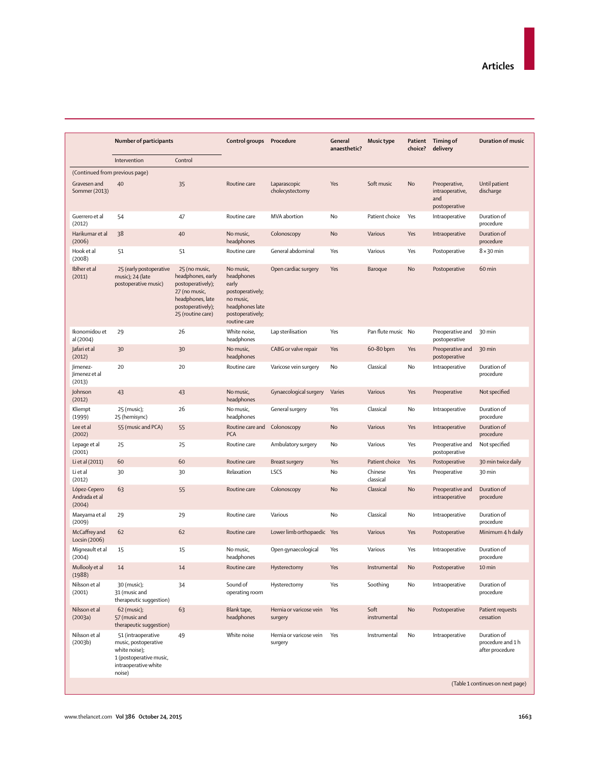|                                         | Number of participants                                                                                                   |                                                                                                                                        | Control groups Procedure                                                                                                 |                                    | General<br>anaesthetic? | <b>Music type</b>    | Patient<br>choice? | Timing of<br>delivery                                    | <b>Duration of music</b>                            |
|-----------------------------------------|--------------------------------------------------------------------------------------------------------------------------|----------------------------------------------------------------------------------------------------------------------------------------|--------------------------------------------------------------------------------------------------------------------------|------------------------------------|-------------------------|----------------------|--------------------|----------------------------------------------------------|-----------------------------------------------------|
|                                         | Intervention                                                                                                             | Control                                                                                                                                |                                                                                                                          |                                    |                         |                      |                    |                                                          |                                                     |
| (Continued from previous page)          |                                                                                                                          |                                                                                                                                        |                                                                                                                          |                                    |                         |                      |                    |                                                          |                                                     |
| Gravesen and<br>Sommer (2013)           | 40                                                                                                                       | 35                                                                                                                                     | Routine care                                                                                                             | Laparascopic<br>cholecystectomy    | Yes                     | Soft music           | No                 | Preoperative,<br>intraoperative,<br>and<br>postoperative | Until patient<br>discharge                          |
| Guerrero et al<br>(2012)                | 54                                                                                                                       | 47                                                                                                                                     | Routine care                                                                                                             | MVA abortion                       | No                      | Patient choice       | Yes                | Intraoperative                                           | Duration of<br>procedure                            |
| Harikumar et al<br>(2006)               | 38                                                                                                                       | 40                                                                                                                                     | No music,<br>headphones                                                                                                  | Colonoscopy                        | No                      | Various              | Yes                | Intraoperative                                           | Duration of<br>procedure                            |
| Hook et al<br>(2008)                    | 51                                                                                                                       | 51                                                                                                                                     | Routine care                                                                                                             | General abdominal                  | Yes                     | Various              | Yes                | Postoperative                                            | $8 \times 30$ min                                   |
| Iblher et al<br>(2011)                  | 25 (early postoperative<br>music); 24 (late<br>postoperative music)                                                      | 25 (no music,<br>headphones, early<br>postoperatively);<br>27 (no music,<br>headphones, late<br>postoperatively);<br>25 (routine care) | No music,<br>headphones<br>early<br>postoperatively;<br>no music,<br>headphones late<br>postoperatively;<br>routine care | Open cardiac surgery               | Yes                     | Baroque              | No                 | Postoperative                                            | 60 min                                              |
| Ikonomidou et<br>al (2004)              | 29                                                                                                                       | 26                                                                                                                                     | White noise,<br>headphones                                                                                               | Lap sterilisation                  | Yes                     | Pan flute music No   |                    | Preoperative and<br>postoperative                        | 30 min                                              |
| Jafari et al<br>(2012)                  | 30                                                                                                                       | 30                                                                                                                                     | No music,<br>headphones                                                                                                  | CABG or valve repair               | Yes                     | 60-80 bpm            | Yes                | Preoperative and<br>postoperative                        | 30 min                                              |
| Jimenez-<br>Jimenez et al<br>(2013)     | 20                                                                                                                       | 20                                                                                                                                     | Routine care                                                                                                             | Varicose vein surgery              | No                      | Classical            | No                 | Intraoperative                                           | Duration of<br>procedure                            |
| Johnson<br>(2012)                       | 43                                                                                                                       | 43                                                                                                                                     | No music,<br>headphones                                                                                                  | Gynaecological surgery             | Varies                  | Various              | Yes                | Preoperative                                             | Not specified                                       |
| Kliempt<br>(1999)                       | 25 (music);<br>25 (hemisync)                                                                                             | 26                                                                                                                                     | No music,<br>headphones                                                                                                  | General surgery                    | Yes                     | Classical            | No                 | Intraoperative                                           | Duration of<br>procedure                            |
| Lee et al<br>(2002)                     | 55 (music and PCA)                                                                                                       | 55                                                                                                                                     | Routine care and<br><b>PCA</b>                                                                                           | Colonoscopy                        | No                      | Various              | Yes                | Intraoperative                                           | Duration of<br>procedure                            |
| Lepage et al<br>(2001)                  | 25                                                                                                                       | 25                                                                                                                                     | Routine care                                                                                                             | Ambulatory surgery                 | No                      | Various              | Yes                | Preoperative and<br>postoperative                        | Not specified                                       |
| Li et al (2011)                         | 60                                                                                                                       | 60                                                                                                                                     | Routine care                                                                                                             | <b>Breast surgery</b>              | Yes                     | Patient choice       | Yes                | Postoperative                                            | 30 min twice daily                                  |
| Li et al<br>(2012)                      | 30                                                                                                                       | 30                                                                                                                                     | Relaxation                                                                                                               | LSCS                               | No                      | Chinese<br>classical | Yes                | Preoperative                                             | 30 min                                              |
| López-Cepero<br>Andrada et al<br>(2004) | 63                                                                                                                       | 55                                                                                                                                     | Routine care                                                                                                             | Colonoscopy                        | No                      | Classical            | No                 | Preoperative and<br>intraoperative                       | Duration of<br>procedure                            |
| Maeyama et al<br>(2009)                 | 29                                                                                                                       | 29                                                                                                                                     | Routine care                                                                                                             | Various                            | No                      | Classical            | No                 | Intraoperative                                           | Duration of<br>procedure                            |
| McCaffrey and<br>Locsin (2006)          | 62                                                                                                                       | 62                                                                                                                                     | Routine care                                                                                                             | Lower limb orthopaedic Yes         |                         | Various              | Yes                | Postoperative                                            | Minimum 4 h daily                                   |
| Migneault et al<br>(2004)               | 15                                                                                                                       | 15                                                                                                                                     | No music,<br>headphones                                                                                                  | Open gynaecological                | Yes                     | Various              | Yes                | Intraoperative                                           | Duration of<br>procedure                            |
| Mullooly et al<br>(1988)                | 14                                                                                                                       | 14                                                                                                                                     | Routine care                                                                                                             | Hysterectomy                       | Yes                     | Instrumental         | No                 | Postoperative                                            | 10 min                                              |
| Nilsson et al<br>(2001)                 | 30 (music);<br>31 (music and<br>therapeutic suggestion)                                                                  | 34                                                                                                                                     | Sound of<br>operating room                                                                                               | Hysterectomy                       | Yes                     | Soothing             | No                 | Intraoperative                                           | Duration of<br>procedure                            |
| Nilsson et al<br>(2003a)                | $62$ (music);<br>57 (music and<br>therapeutic suggestion)                                                                | 63                                                                                                                                     | Blank tape,<br>headphones                                                                                                | Hernia or varicose vein<br>surgery | Yes                     | Soft<br>instrumental | No                 | Postoperative                                            | Patient requests<br>cessation                       |
| Nilsson et al<br>(2003b)                | 51 (intraoperative<br>music, postoperative<br>white noise);<br>1 (postoperative music,<br>intraoperative white<br>noise) | 49                                                                                                                                     | White noise                                                                                                              | Hernia or varicose vein<br>surgery | Yes                     | Instrumental         | No                 | Intraoperative                                           | Duration of<br>procedure and 1 h<br>after procedure |
|                                         |                                                                                                                          |                                                                                                                                        |                                                                                                                          |                                    |                         |                      |                    |                                                          | (Table 1 continues on next page)                    |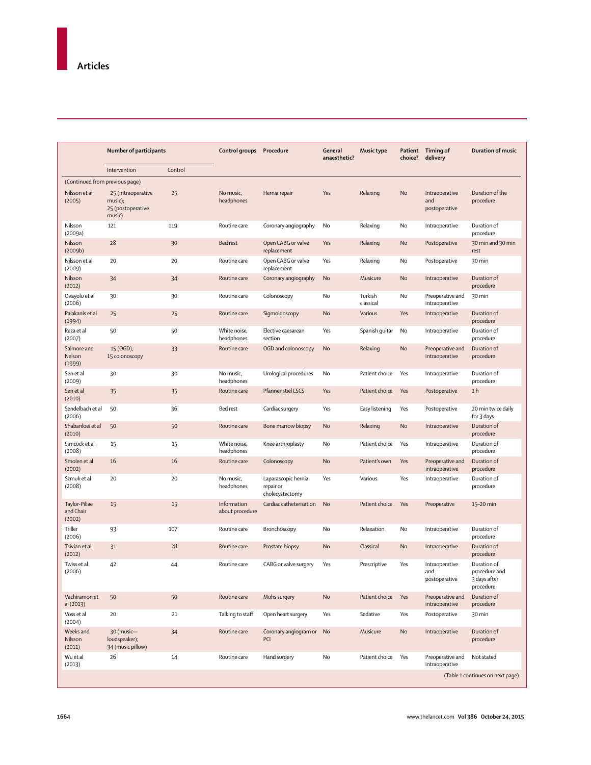|                                      | Number of participants                                       |         | Control groups Procedure       |                                                     | General<br>anaesthetic? | <b>Music type</b>    | Patient Timing of<br>delivery<br>choice? |                                        | <b>Duration of music</b>                                  |
|--------------------------------------|--------------------------------------------------------------|---------|--------------------------------|-----------------------------------------------------|-------------------------|----------------------|------------------------------------------|----------------------------------------|-----------------------------------------------------------|
|                                      | Intervention                                                 | Control |                                |                                                     |                         |                      |                                          |                                        |                                                           |
| (Continued from previous page)       |                                                              |         |                                |                                                     |                         |                      |                                          |                                        |                                                           |
| Nilsson et al<br>(2005)              | 25 (intraoperative<br>music);<br>25 (postoperative<br>music) | 25      | No music,<br>headphones        | Hernia repair                                       | Yes                     | Relaxing             | No                                       | Intraoperative<br>and<br>postoperative | Duration of the<br>procedure                              |
| Nilsson<br>(2009a)                   | 121                                                          | 119     | Routine care                   | Coronary angiography                                | No                      | Relaxing             | No                                       | Intraoperative                         | Duration of<br>procedure                                  |
| Nilsson<br>(2009b)                   | 28                                                           | 30      | Bed rest                       | Open CABG or valve<br>replacement                   | Yes                     | Relaxing             | No                                       | Postoperative                          | 30 min and 30 min<br>rest                                 |
| Nilsson et al<br>(2009)              | 20                                                           | 20      | Routine care                   | Open CABG or valve<br>replacement                   | Yes                     | Relaxing             | No                                       | Postoperative                          | 30 min                                                    |
| Nilsson<br>(2012)                    | 34                                                           | 34      | Routine care                   | Coronary angiography                                | No                      | Musicure             | No                                       | Intraoperative                         | Duration of<br>procedure                                  |
| Ovayolu et al<br>(2006)              | 30                                                           | 30      | Routine care                   | Colonoscopy                                         | No                      | Turkish<br>classical | No                                       | Preoperative and<br>intraoperative     | 30 min                                                    |
| Palakanis et al<br>(1994)            | 25                                                           | 25      | Routine care                   | Sigmoidoscopy                                       | No                      | Various              | Yes                                      | Intraoperative                         | Duration of<br>procedure                                  |
| Reza et al<br>(2007)                 | 50                                                           | 50      | White noise,<br>headphones     | Elective caesarean<br>section                       | Yes                     | Spanish quitar       | No                                       | Intraoperative                         | Duration of<br>procedure                                  |
| Salmore and<br>Nelson<br>(1999)      | 15 (OGD);<br>15 colonoscopy                                  | 33      | Routine care                   | OGD and colonoscopy                                 | No                      | Relaxing             | No                                       | Preoperative and<br>intraoperative     | Duration of<br>procedure                                  |
| Sen et al<br>(2009)                  | 30                                                           | 30      | No music,<br>headphones        | Urological procedures                               | No                      | Patient choice       | Yes                                      | Intraoperative                         | Duration of<br>procedure                                  |
| Sen et al<br>(2010)                  | 35                                                           | 35      | Routine care                   | <b>Pfannenstiel LSCS</b>                            | Yes                     | Patient choice       | Yes                                      | Postoperative                          | 1 <sub>h</sub>                                            |
| Sendelbach et al<br>(2006)           | 50                                                           | 36      | Bed rest                       | Cardiac surgery                                     | Yes                     | Easy listening       | Yes                                      | Postoperative                          | 20 min twice daily<br>for 3 days                          |
| Shabanloei et al<br>(2010)           | 50                                                           | 50      | Routine care                   | Bone marrow biopsy                                  | No                      | Relaxing             | No                                       | Intraoperative                         | Duration of<br>procedure                                  |
| Simcock et al<br>(2008)              | 15                                                           | 15      | White noise,<br>headphones     | Knee arthroplasty                                   | No                      | Patient choice       | Yes                                      | Intraoperative                         | Duration of<br>procedure                                  |
| Smolen et al<br>(2002)               | 16                                                           | 16      | Routine care                   | Colonoscopy                                         | No                      | Patient's own        | Yes                                      | Preoperative and<br>intraoperative     | Duration of<br>procedure                                  |
| Szmuk et al<br>(2008)                | 20                                                           | 20      | No music,<br>headphones        | Laparascopic hernia<br>repair or<br>cholecystectomy | Yes                     | Various              | Yes                                      | Intraoperative                         | Duration of<br>procedure                                  |
| Taylor-Piliae<br>and Chair<br>(2002) | 15                                                           | 15      | Information<br>about procedure | Cardiac catheterisation                             | <b>No</b>               | Patient choice       | Yes                                      | Preoperative                           | 15-20 min                                                 |
| Triller<br>(2006)                    | 93                                                           | 107     | Routine care                   | Bronchoscopy                                        | No                      | Relaxation           | No                                       | Intraoperative                         | Duration of<br>procedure                                  |
| Tsivian et al<br>(2012)              | 31                                                           | 28      | Routine care                   | Prostate biopsy                                     | No                      | Classical            | No                                       | Intraoperative                         | Duration of<br>procedure                                  |
| Twiss et al<br>(2006)                | 42                                                           | 44      | Routine care                   | CABG or valve surgery                               | Yes                     | Prescriptive         | Yes                                      | Intraoperative<br>and<br>postoperative | Duration of<br>procedure and<br>3 days after<br>procedure |
| Vachiramon et<br>al (2013)           | 50                                                           | 50      | Routine care                   | Mohs surgery                                        | No                      | Patient choice       | Yes                                      | Preoperative and<br>intraoperative     | Duration of<br>procedure                                  |
| Voss et al<br>(2004)                 | 20                                                           | 21      | Talking to staff               | Open heart surgery                                  | Yes                     | Sedative             | Yes                                      | Postoperative                          | 30 min                                                    |
| Weeks and<br>Nilsson<br>(2011)       | 30 (music-<br>loudspeaker);<br>34 (music pillow)             | 34      | Routine care                   | Coronary angiogram or No<br>PCI                     |                         | Musicure             | No                                       | Intraoperative                         | Duration of<br>procedure                                  |
| Wu et al<br>(2013)                   | 26                                                           | 14      | Routine care                   | Hand surgery                                        | No                      | Patient choice       | Yes                                      | Preoperative and<br>intraoperative     | Not stated                                                |
|                                      |                                                              |         |                                |                                                     |                         |                      |                                          |                                        | (Table 1 continues on next page)                          |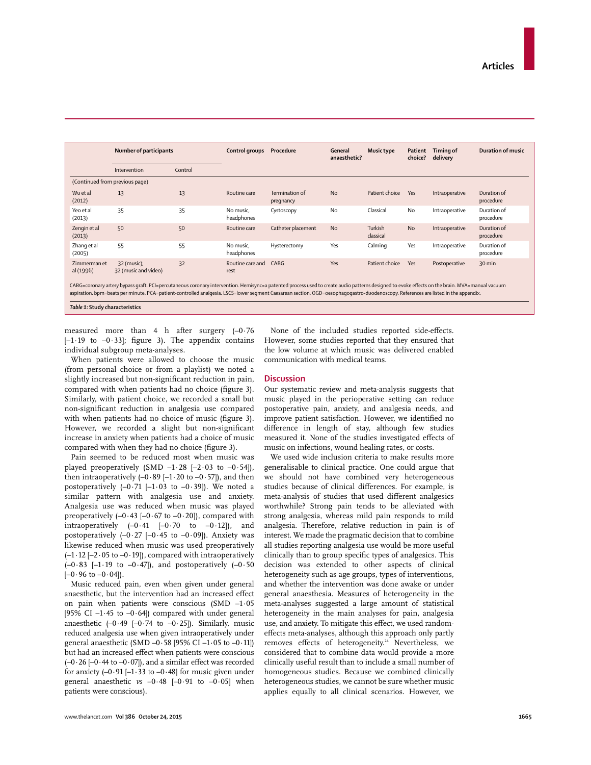|                                                                                                                                                                                                                                                                                                                                                                                      | Number of participants              |         | Control groups           | Procedure                   | <b>Music type</b><br>General<br>anaesthetic? | Timing of<br>Patient<br>delivery<br>choice? | <b>Duration of music</b> |                |                          |
|--------------------------------------------------------------------------------------------------------------------------------------------------------------------------------------------------------------------------------------------------------------------------------------------------------------------------------------------------------------------------------------|-------------------------------------|---------|--------------------------|-----------------------------|----------------------------------------------|---------------------------------------------|--------------------------|----------------|--------------------------|
|                                                                                                                                                                                                                                                                                                                                                                                      | Intervention                        | Control |                          |                             |                                              |                                             |                          |                |                          |
|                                                                                                                                                                                                                                                                                                                                                                                      | (Continued from previous page)      |         |                          |                             |                                              |                                             |                          |                |                          |
| Wu et al<br>(2012)                                                                                                                                                                                                                                                                                                                                                                   | 13                                  | 13      | Routine care             | Termination of<br>pregnancy | <b>No</b>                                    | Patient choice                              | Yes                      | Intraoperative | Duration of<br>procedure |
| Yeo et al<br>(2013)                                                                                                                                                                                                                                                                                                                                                                  | 35                                  | 35      | No music,<br>headphones  | Cystoscopy                  | No                                           | Classical                                   | <b>No</b>                | Intraoperative | Duration of<br>procedure |
| Zengin et al<br>(2013)                                                                                                                                                                                                                                                                                                                                                               | 50                                  | 50      | Routine care             | Catheter placement          | <b>No</b>                                    | Turkish<br>classical                        | <b>No</b>                | Intraoperative | Duration of<br>procedure |
| Zhang et al<br>(2005)                                                                                                                                                                                                                                                                                                                                                                | 55                                  | 55      | No music,<br>headphones  | Hysterectomy                | Yes                                          | Calming                                     | Yes                      | Intraoperative | Duration of<br>procedure |
| Zimmerman et<br>al (1996)                                                                                                                                                                                                                                                                                                                                                            | 32 (music);<br>32 (music and video) | 32      | Routine care and<br>rest | CABG                        | Yes                                          | Patient choice                              | Yes                      | Postoperative  | 30 min                   |
| CABG=coronary artery bypass graft. PCI=percutaneous coronary intervention. Hemisync=a patented process used to create audio patterns designed to evoke effects on the brain. MVA=manual vacuum<br>aspiration. bpm=beats per minute. PCA=patient-controlled analgesia. LSCS=lower segment Caesarean section. OGD=oesophagogastro-duodenoscopy. References are listed in the appendix. |                                     |         |                          |                             |                                              |                                             |                          |                |                          |
| Table 1: Study characteristics                                                                                                                                                                                                                                                                                                                                                       |                                     |         |                          |                             |                                              |                                             |                          |                |                          |

measured more than 4 h after surgery (–0·76  $[-1.19$  to  $-0.33]$ ; figure 3). The appendix contains individual subgroup meta-analyses.

When patients were allowed to choose the music (from personal choice or from a playlist) we noted a slightly increased but non-significant reduction in pain, compared with when patients had no choice (figure 3). Similarly, with patient choice, we recorded a small but non-significant reduction in analgesia use compared with when patients had no choice of music (figure 3). However, we recorded a slight but non-significant increase in anxiety when patients had a choice of music compared with when they had no choice (figure 3).

Pain seemed to be reduced most when music was played preoperatively (SMD  $-1.28$   $[-2.03$  to  $-0.54]$ ), then intraoperatively  $(-0.89 -1.20$  to  $-0.57$ ), and then postoperatively  $(-0.71$   $[-1.03$  to  $-0.39]$ ). We noted a similar pattern with analgesia use and anxiety. Analgesia use was reduced when music was played preoperatively  $(-0.43 [-0.67 \text{ to } -0.20])$ , compared with intraoperatively  $(-0.41 \t[-0.70 \tto -0.12]),$  and postoperatively  $(-0.27$   $[-0.45$  to  $-0.09]$ ). Anxiety was likewise reduced when music was used preoperatively  $(-1.12$   $[-2.05$  to  $-0.19]$ ), compared with intraoperatively  $(-0.83$   $[-1.19$  to  $-0.47]$ ), and postoperatively  $(-0.50$  $[-0.96 \text{ to } -0.04]$ .

Music reduced pain, even when given under general anaesthetic, but the intervention had an increased effect on pain when patients were conscious (SMD –1·05 [95% CI  $-1.45$  to  $-0.64$ ]) compared with under general anaesthetic  $(-0.49 \ [-0.74 \text{ to } -0.25])$ . Similarly, music reduced analgesia use when given intraoperatively under general anaesthetic (SMD  $-0.58$  [95% CI $-1.05$  to  $-0.11$ ]) but had an increased effect when patients were conscious  $(-0.26$   $[-0.44$  to  $-0.07]$ ), and a similar effect was recorded for anxiety  $(-0.91 -1.33)$  to  $-0.48$ ] for music given under general anaesthetic  $vs$   $-0.48$   $[-0.91$  to  $-0.05]$  when patients were conscious).

None of the included studies reported side-effects. However, some studies reported that they ensured that the low volume at which music was delivered enabled communication with medical teams.

#### **Discussion**

Our systematic review and meta-analysis suggests that music played in the perioperative setting can reduce postoperative pain, anxiety, and analgesia needs, and improve patient satisfaction. However, we identified no difference in length of stay, although few studies measured it. None of the studies investigated effects of music on infections, wound healing rates, or costs.

We used wide inclusion criteria to make results more generalisable to clinical practice. One could argue that we should not have combined very heterogeneous studies because of clinical differences. For example, is meta-analysis of studies that used different analgesics worthwhile? Strong pain tends to be alleviated with strong analgesia, whereas mild pain responds to mild analgesia. Therefore, relative reduction in pain is of interest. We made the pragmatic decision that to combine all studies reporting analgesia use would be more useful clinically than to group specific types of analgesics. This decision was extended to other aspects of clinical heterogeneity such as age groups, types of interventions, and whether the intervention was done awake or under general anaesthesia. Measures of heterogeneity in the meta-analyses suggested a large amount of statistical heterogeneity in the main analyses for pain, analgesia use, and anxiety. To mitigate this effect, we used randomeffects meta-analyses, although this approach only partly removes effects of heterogeneity.<sup>24</sup> Nevertheless, we considered that to combine data would provide a more clinically useful result than to include a small number of homogeneous studies. Because we combined clinically heterogeneous studies, we cannot be sure whether music applies equally to all clinical scenarios. However, we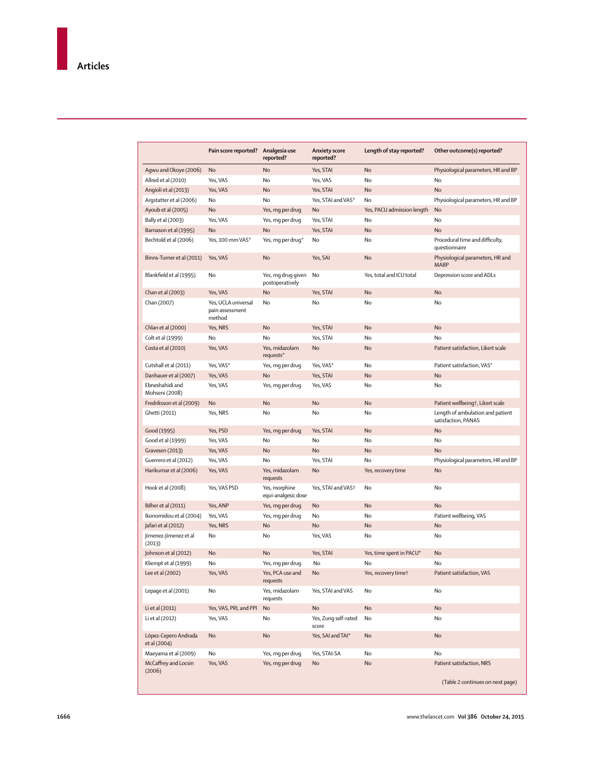|                                      | Pain score reported? Analgesia use               | reported?                             | <b>Anxiety score</b><br>reported? | Length of stay reported?   | Other outcome(s) reported?                              |
|--------------------------------------|--------------------------------------------------|---------------------------------------|-----------------------------------|----------------------------|---------------------------------------------------------|
| Agwu and Okoye (2006)                | <b>No</b>                                        | No                                    | Yes, STAI                         | No                         | Physiological parameters, HR and BP                     |
| Allred et al (2010)                  | Yes, VAS                                         | No                                    | Yes, VAS                          | No                         | No                                                      |
| Angioli et al (2013)                 | Yes, VAS                                         | No                                    | Yes, STAI                         | No                         | No                                                      |
| Argstatter et al (2006)              | No                                               | No                                    | Yes, STAI and VAS*                | No                         | Physiological parameters, HR and BP                     |
| Ayoub et al (2005)                   | No                                               | Yes, mg per drug                      | No                                | Yes, PACU admission length | <b>No</b>                                               |
| Bally et al (2003)                   | Yes, VAS                                         | Yes, mg per drug                      | Yes, STAI                         | No                         | No                                                      |
| Barnason et al (1995)                | No                                               | No                                    | Yes, STAI                         | No                         | No                                                      |
| Bechtold et al (2006)                | Yes, 100 mm VAS*                                 | Yes, mg per drug*                     | No                                | No                         | Procedural time and difficulty,<br>questionnaire        |
| Binns-Turner et al (2011)            | Yes, VAS                                         | No                                    | Yes, SAI                          | No                         | Physiological parameters, HR and<br><b>MABP</b>         |
| Blankfield et al (1995)              | No                                               | Yes, mg drug given<br>postoperatively | No                                | Yes, total and ICU total   | Depression score and ADLs                               |
| Chan et al (2003)                    | Yes, VAS                                         | No                                    | Yes, STAI                         | No                         | No                                                      |
| Chan (2007)                          | Yes, UCLA universal<br>pain assessment<br>method | No                                    | No                                | No                         | No                                                      |
| Chlan et al (2000)                   | Yes, NRS                                         | No                                    | Yes, STAI                         | No                         | No                                                      |
| Colt et al (1999)                    | No                                               | No                                    | Yes, STAI                         | No                         | No                                                      |
| Costa et al (2010)                   | Yes, VAS                                         | Yes, midazolam<br>requests*           | No                                | No                         | Patient satisfaction, Likert scale                      |
| Cutshall et al (2011)                | Yes, VAS*                                        | Yes, mg per drug                      | Yes, VAS*                         | No                         | Patient satisfaction, VAS*                              |
| Danhauer et al (2007)                | Yes, VAS                                         | No                                    | Yes, STAI                         | No                         | No                                                      |
| Ebneshahidi and<br>Mohseni (2008)    | Yes, VAS                                         | Yes, mg per drug                      | Yes, VAS                          | No                         | No                                                      |
| Fredriksson et al (2009)             | <b>No</b>                                        | No                                    | No                                | No                         | Patient wellbeingt, Likert scale                        |
| Ghetti (2011)                        | Yes, NRS                                         | No                                    | No                                | No                         | Length of ambulation and patient<br>satisfaction, PANAS |
| Good (1995)                          | Yes, PSD                                         | Yes, mg per drug                      | Yes, STAI                         | No                         | No                                                      |
| Good et al (1999)                    | Yes, VAS                                         | No                                    | No                                | No                         | No                                                      |
| Gravesen (2013)                      | Yes, VAS                                         | No                                    | No                                | No                         | No                                                      |
| Guerrero et al (2012)                | Yes, VAS                                         | No                                    | Yes, STAI                         | No                         | Physiological parameters, HR and BP                     |
| Harikumar et al (2006)               | Yes, VAS                                         | Yes, midazolam<br>requests            | No                                | Yes, recovery time         | No                                                      |
| Hook et al (2008)                    | Yes, VAS PSD                                     | Yes, morphine<br>equi-analgesic dose  | Yes, STAI and VASt                | No                         | No                                                      |
| Iblher et al (2011)                  | Yes, ANP                                         | Yes, mg per drug                      | No                                | No                         | No                                                      |
| Ikonomidou et al (2004)              | Yes, VAS                                         | Yes, mg per drug                      | No                                | No                         | Patient wellbeing, VAS                                  |
| Jafari et al (2012)                  | Yes, NRS                                         | No                                    | No                                | No                         | No                                                      |
| Jimenez-Jimenez et al<br>(2013)      | No                                               | No                                    | Yes, VAS                          | No                         | No                                                      |
| Johnson et al (2012)                 | No                                               | No                                    | Yes, STAI                         | Yes, time spent in PACU*   | No                                                      |
| Kliempt et al (1999)                 | No                                               | Yes, mg per drug                      | No                                | No                         | No                                                      |
| Lee et al (2002)                     | Yes, VAS                                         | Yes, PCA use and<br>requests          | No                                | Yes, recovery timet        | Patient satisfaction, VAS                               |
| Lepage et al (2001)                  | No                                               | Yes, midazolam<br>requests            | Yes, STAI and VAS                 | No                         | No                                                      |
| Li et al (2011)                      | Yes, VAS, PRI, and PPI                           | No                                    | No                                | No                         | No                                                      |
| Li et al (2012)                      | Yes, VAS                                         | No                                    | Yes, Zung self-rated<br>score     | No                         | No                                                      |
| López-Cepero Andrada<br>et al (2004) | No                                               | No                                    | Yes, SAI and TAI*                 | No                         | No                                                      |
| Maeyama et al (2009)                 | No                                               | Yes, mg per drug                      | Yes, STAI-SA                      | No                         | No                                                      |
| McCaffrey and Locsin<br>(2006)       | Yes, VAS                                         | Yes, mg per drug                      | No                                | No                         | Patient satisfaction, NRS                               |
|                                      |                                                  |                                       |                                   |                            | (Table 2 continues on next page)                        |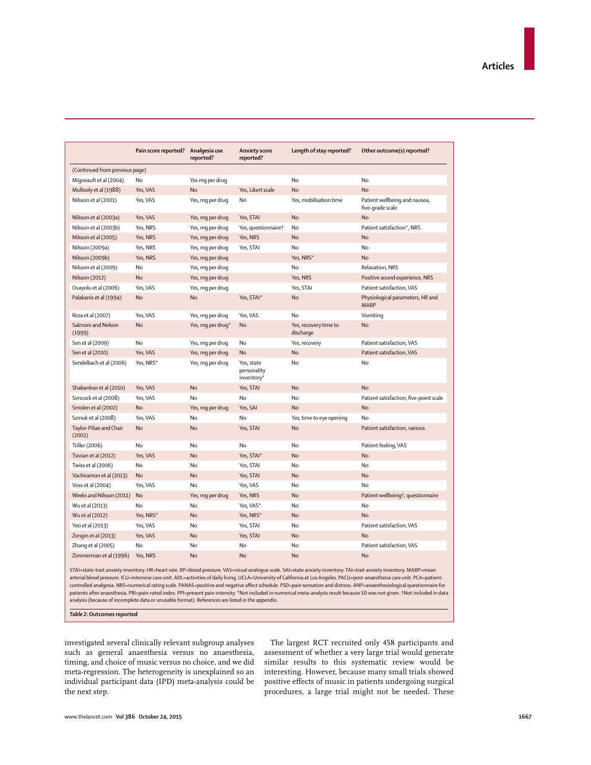|                                   | Pain score reported? | Analgesia use<br>reported? | <b>Anxiety score</b><br>reported?       | Length of stay reported?           | Other outcome(s) reported?                        |
|-----------------------------------|----------------------|----------------------------|-----------------------------------------|------------------------------------|---------------------------------------------------|
| (Continued from previous page)    |                      |                            |                                         |                                    |                                                   |
| Migneault et al (2004)            | No                   | Yes mg per drug            |                                         | No                                 | No                                                |
| Mullooly et al (1988)             | Yes, VAS             | <b>No</b>                  | Yes, Likert scale                       | <b>No</b>                          | <b>No</b>                                         |
| Nilsson et al (2001)              | Yes, VAS             | Yes, mg per drug           | No                                      | Yes, mobilisation time             | Patient wellbeing and nausea,<br>five-grade scale |
| Nilsson et al (2003a)             | Yes, VAS             | Yes, mg per drug           | Yes, STAI                               | <b>No</b>                          | No                                                |
| Nilsson et al (2003b)             | Yes, NRS             | Yes, mg per drug           | Yes, questionnaire†                     | No                                 | Patient satisfaction*, NRS                        |
| Nilsson et al (2005)              | Yes, NRS             | Yes, mg per drug           | Yes, NRS                                | No                                 | No                                                |
| Nilsson (2009a)                   | Yes, NRS             | Yes, mg per drug           | Yes, STAI                               | No                                 | No                                                |
| Nilsson (2009b)                   | Yes, NRS             | Yes, mg per drug           |                                         | Yes, NRS*                          | No                                                |
| Nilsson et al (2009)              | No                   | Yes, mg per drug           |                                         | No                                 | Relaxation, NRS                                   |
| Nilsson (2012)                    | <b>No</b>            | Yes, mg per drug           |                                         | Yes, NRS                           | Positive sound experience, NRS                    |
| Ovayolu et al (2006)              | Yes, VAS             | Yes, mg per drug           |                                         | Yes, STAI                          | Patient satisfaction, VAS                         |
| Palakanis et al (1994)            | No                   | No                         | Yes, STAI*                              | No                                 | Physiological parameters, HR and<br><b>MABP</b>   |
| Reza et al (2007)                 | Yes, VAS             | Yes, mg per drug           | Yes, VAS                                | No                                 | Vomiting                                          |
| Salmore and Nelson<br>(1999)      | No                   | Yes, mg per drug*          | No                                      | Yes, recovery time to<br>discharge | No                                                |
| Sen et al (2009)                  | No                   | Yes, mg per drug           | No                                      | Yes, recovery                      | Patient satisfaction, VAS                         |
| Sen et al (2010)                  | Yes, VAS             | Yes, mg per drug           | No                                      | No                                 | Patient satisfaction, VAS                         |
| Sendelbach et al (2006)           | Yes, NRS*            | Yes, mg per drug           | Yes, state<br>personality<br>inventory* | No                                 | No                                                |
| Shabanloei et al (2010)           | Yes, VAS             | <b>No</b>                  | Yes, STAI                               | No                                 | <b>No</b>                                         |
| Simcock et al (2008)              | Yes, VAS             | No                         | No                                      | No                                 | Patient satisfaction, five-point scale            |
| Smolen et al (2002)               | No                   | Yes, mg per drug           | Yes, SAI                                | No                                 | No                                                |
| Szmuk et al (2008)                | Yes, VAS             | No                         | <b>No</b>                               | Yes, time to eye opening           | <b>No</b>                                         |
| Taylor-Piliae and Chair<br>(2002) | No                   | <b>No</b>                  | Yes, STAI                               | <b>No</b>                          | Patient satisfaction, various                     |
| Triller (2006)                    | No                   | No                         | No                                      | No                                 | Patient feeling, VAS                              |
| Tsivian et al (2012)              | Yes, VAS             | <b>No</b>                  | Yes, STAI*                              | No                                 | No                                                |
| Twiss et al (2006)                | <b>No</b>            | No                         | Yes, STAI                               | <b>No</b>                          | No                                                |
| Vachiramon et al (2013)           | No                   | <b>No</b>                  | Yes, STAI                               | No                                 | <b>No</b>                                         |
| Voss et al (2004)                 | Yes, VAS             | No                         | Yes, VAS                                | No                                 | <b>No</b>                                         |
| Weeks and Nilsson (2011)          | <b>No</b>            | Yes, mg per drug           | Yes, NRS                                | <b>No</b>                          | Patient wellbeingt, questionnaire                 |
| Wu et al (2013)                   | No                   | No                         | Yes, VAS*                               | No                                 | No                                                |
| Wu et al (2012)                   | Yes, NRS*            | <b>No</b>                  | Yes, NRS*                               | No                                 | <b>No</b>                                         |
| Yeo et al (2013)                  | Yes, VAS             | No                         | Yes, STAI                               | <b>No</b>                          | Patient satisfaction, VAS                         |
| Zengin et al (2013)               | Yes, VAS             | <b>No</b>                  | Yes, STAI                               | No                                 | No                                                |
| Zhang et al (2005)                | No                   | No                         | No                                      | No                                 | Patient satisfaction, VAS                         |
| Zimmerman et al (1996)            | Yes, NRS             | <b>No</b>                  | No                                      | No                                 | No                                                |

STAI=state-trait anxiety inventory. HR=heart rate. BP=blood pressure. VAS=visual analogue scale. SAI=state anxiety inventory. TAI=trait anxiety inventory. MABP=mean arterial blood pressure. ICU=intensive care unit. ADL=activities of daily living. UCLA=University of California at Los Angeles. PACU=post-anaesthesia care unit. PCA=patientcontrolled analgesia. NRS=numerical rating scale. PANAS=positive and negative affect schedule. PSD=pain sensation and distress. ANP=anaesthesiological question naire for patients after anaesthesia. PRI=pain-rated index. PPI=present pain intensity. \*Not included in numerical meta-analysis result because SD was not given. †Not included in data<br>analysis (because of incomplete data or unusable

*Table 2:* **Outcomes reported**

investigated several clinically relevant subgroup analyses such as general anaesthesia versus no anaesthesia, timing, and choice of music versus no choice, and we did meta-regression. The heterogeneity is unexplained so an individual participant data (IPD) meta-analysis could be the next step.

The largest RCT recruited only 458 participants and assessment of whether a very large trial would generate similar results to this systematic review would be interesting. However, because many small trials showed positive effects of music in patients undergoing surgical procedures, a large trial might not be needed. These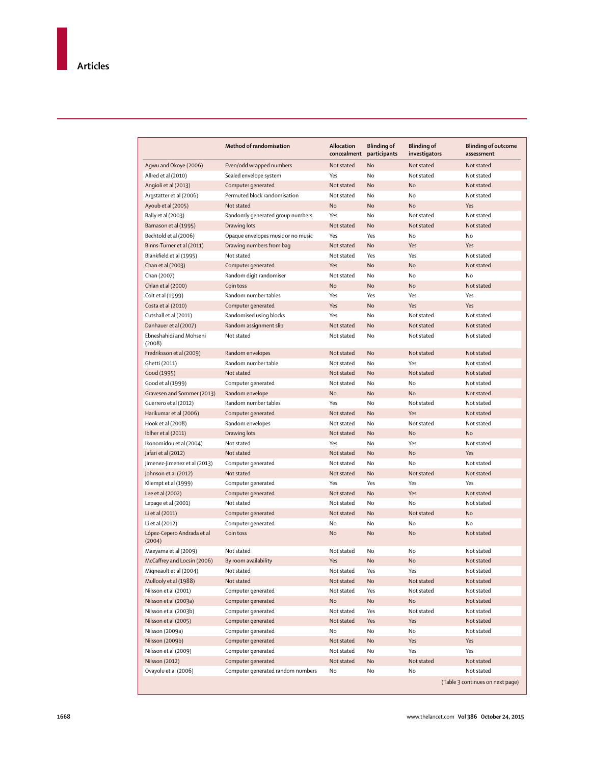|                                      | Method of randomisation            | Allocation<br>concealment | <b>Blinding of</b><br>participants | <b>Blinding of</b><br>investigators | <b>Blinding of outcome</b><br>assessment |
|--------------------------------------|------------------------------------|---------------------------|------------------------------------|-------------------------------------|------------------------------------------|
| Agwu and Okoye (2006)                | Even/odd wrapped numbers           | Not stated                | <b>No</b>                          | Not stated                          | Not stated                               |
| Allred et al (2010)                  | Sealed envelope system             | Yes                       | No                                 | Not stated                          | Not stated                               |
| Angioli et al (2013)                 | Computer generated                 | Not stated                | <b>No</b>                          | <b>No</b>                           | Not stated                               |
| Argstatter et al (2006)              | Permuted block randomisation       | Not stated                | No                                 | No                                  | Not stated                               |
| Ayoub et al (2005)                   | Not stated                         | No                        | No                                 | No                                  | Yes                                      |
| Bally et al (2003)                   | Randomly generated group numbers   | Yes                       | No                                 | Not stated                          | Not stated                               |
| Barnason et al (1995)                | Drawing lots                       | Not stated                | No                                 | Not stated                          | Not stated                               |
| Bechtold et al (2006)                | Opaque envelopes music or no music | Yes                       | Yes                                | No                                  | No                                       |
| Binns-Turner et al (2011)            | Drawing numbers from bag           | Not stated                | No                                 | Yes                                 | Yes                                      |
| Blankfield et al (1995)              | Not stated                         | Not stated                | Yes                                | Yes                                 | Not stated                               |
| Chan et al (2003)                    | Computer generated                 | Yes                       | <b>No</b>                          | <b>No</b>                           | Not stated                               |
| Chan (2007)                          | Random digit randomiser            | Not stated                | No                                 | No                                  | No                                       |
| Chlan et al (2000)                   | Coin toss                          | <b>No</b>                 | No                                 | <b>No</b>                           | Not stated                               |
| Colt et al (1999)                    | Random number tables               | Yes                       | Yes                                | Yes                                 | Yes                                      |
| Costa et al (2010)                   | Computer generated                 | Yes                       | <b>No</b>                          | Yes                                 | Yes                                      |
| Cutshall et al (2011)                | Randomised using blocks            | Yes                       | No                                 | Not stated                          | Not stated                               |
| Danhauer et al (2007)                | Random assignment slip             | Not stated                | <b>No</b>                          | Not stated                          | Not stated                               |
| Ebneshahidi and Mohseni<br>(2008)    | Not stated                         | Not stated                | No                                 | Not stated                          | Not stated                               |
| Fredriksson et al (2009)             | Random envelopes                   | Not stated                | No                                 | Not stated                          | Not stated                               |
| Ghetti (2011)                        | Random number table                | Not stated                | No                                 | Yes                                 | Not stated                               |
| Good (1995)                          | Not stated                         | Not stated                | No                                 | Not stated                          | Not stated                               |
| Good et al (1999)                    | Computer generated                 | Not stated                | No                                 | No                                  | Not stated                               |
| Gravesen and Sommer (2013)           | Random envelope                    | <b>No</b>                 | <b>No</b>                          | <b>No</b>                           | Not stated                               |
| Guerrero et al (2012)                | Random number tables               | Yes                       | No                                 | Not stated                          | Not stated                               |
| Harikumar et al (2006)               | Computer generated                 | Not stated                | <b>No</b>                          | Yes                                 | Not stated                               |
| Hook et al (2008)                    | Random envelopes                   | Not stated                | No                                 | Not stated                          | Not stated                               |
| Iblher et al (2011)                  | Drawing lots                       | Not stated                | <b>No</b>                          | <b>No</b>                           | <b>No</b>                                |
| Ikonomidou et al (2004)              | Not stated                         | Yes                       | No                                 | Yes                                 | Not stated                               |
| Jafari et al (2012)                  | Not stated                         | Not stated                | No                                 | No                                  | Yes                                      |
| Jimenez-Jimenez et al (2013)         | Computer generated                 | Not stated                | No                                 | No                                  | Not stated                               |
| Johnson et al (2012)                 | Not stated                         | Not stated                | No                                 | Not stated                          | Not stated                               |
| Kliempt et al (1999)                 | Computer generated                 | Yes                       | Yes                                | Yes                                 | Yes                                      |
| Lee et al (2002)                     | Computer generated                 | Not stated                | No                                 | Yes                                 | Not stated                               |
| Lepage et al (2001)                  | Not stated                         | Not stated                | No                                 | No                                  | Not stated                               |
| Li et al (2011)                      | Computer generated                 | Not stated                | <b>No</b>                          | Not stated                          | <b>No</b>                                |
| Li et al (2012)                      | Computer generated                 | No                        | No                                 | No                                  | No                                       |
| López-Cepero Andrada et al<br>(2004) | Coin toss                          | <b>No</b>                 | No                                 | <b>No</b>                           | Not stated                               |
| Maeyama et al (2009)                 | Not stated                         | Not stated                | No                                 | No                                  | Not stated                               |
| McCaffrey and Locsin (2006)          | By room availability               | Yes                       | <b>No</b>                          | <b>No</b>                           | Not stated                               |
| Migneault et al (2004)               | Not stated                         | Not stated                | Yes                                | Yes                                 | Not stated                               |
| Mullooly et al (1988)                | Not stated                         | Not stated                | No                                 | Not stated                          | Not stated                               |
| Nilsson et al (2001)                 | Computer generated                 | Not stated                | Yes                                | Not stated                          | Not stated                               |
| Nilsson et al (2003a)                | Computer generated                 | <b>No</b>                 | No                                 | No                                  | Not stated                               |
| Nilsson et al (2003b)                | Computer generated                 | Not stated                | Yes                                | Not stated                          | Not stated                               |
| Nilsson et al (2005)                 | Computer generated                 | Not stated                | Yes                                | Yes                                 | Not stated                               |
| Nilsson (2009a)                      | Computer generated                 | No                        | No                                 | No                                  | Not stated                               |
| Nilsson (2009b)                      | Computer generated                 | Not stated                | No                                 | Yes                                 | Yes                                      |
| Nilsson et al (2009)                 | Computer generated                 | Not stated                | No                                 | Yes                                 | Yes                                      |
| <b>Nilsson (2012)</b>                | Computer generated                 | Not stated                | No                                 | Not stated                          | Not stated                               |
| Ovayolu et al (2006)                 | Computer generated random numbers  | No                        | No                                 | No                                  | Not stated                               |
|                                      |                                    |                           |                                    |                                     | (Table 3 continues on next page)         |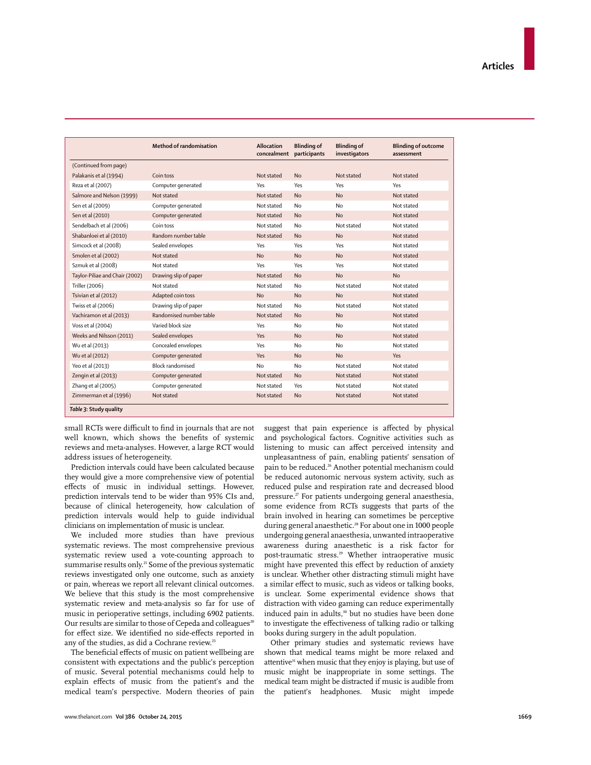|                                | Method of randomisation | Allocation<br>concealment | <b>Blinding of</b><br>participants | <b>Blinding of</b><br>investigators | <b>Blinding of outcome</b><br>assessment |
|--------------------------------|-------------------------|---------------------------|------------------------------------|-------------------------------------|------------------------------------------|
| (Continued from page)          |                         |                           |                                    |                                     |                                          |
| Palakanis et al (1994)         | Coin toss               | Not stated                | <b>No</b>                          | Not stated                          | Not stated                               |
| Reza et al (2007)              | Computer generated      | Yes                       | Yes                                | Yes                                 | Yes                                      |
| Salmore and Nelson (1999)      | Not stated              | Not stated                | <b>No</b>                          | <b>No</b>                           | Not stated                               |
| Sen et al (2009)               | Computer generated      | Not stated                | No                                 | No                                  | Not stated                               |
| Sen et al (2010)               | Computer generated      | Not stated                | <b>No</b>                          | No                                  | Not stated                               |
| Sendelbach et al (2006)        | Coin toss               | Not stated                | No                                 | Not stated                          | Not stated                               |
| Shabanloei et al (2010)        | Random number table     | Not stated                | <b>No</b>                          | <b>No</b>                           | Not stated                               |
| Simcock et al (2008)           | Sealed envelopes        | Yes                       | Yes                                | Yes                                 | Not stated                               |
| Smolen et al (2002)            | Not stated              | <b>No</b>                 | N <sub>o</sub>                     | <b>No</b>                           | Not stated                               |
| Szmuk et al (2008)             | Not stated              | Yes                       | Yes                                | Yes                                 | Not stated                               |
| Taylor-Piliae and Chair (2002) | Drawing slip of paper   | Not stated                | <b>No</b>                          | <b>No</b>                           | <b>No</b>                                |
| Triller (2006)                 | Not stated              | Not stated                | No                                 | Not stated                          | Not stated                               |
| Tsivian et al (2012)           | Adapted coin toss       | <b>No</b>                 | <b>No</b>                          | <b>No</b>                           | Not stated                               |
| Twiss et al (2006)             | Drawing slip of paper   | Not stated                | No                                 | Not stated                          | Not stated                               |
| Vachiramon et al (2013)        | Randomised number table | Not stated                | <b>No</b>                          | <b>No</b>                           | Not stated                               |
| Voss et al (2004)              | Varied block size       | Yes                       | No                                 | No                                  | Not stated                               |
| Weeks and Nilsson (2011)       | Sealed envelopes        | Yes                       | <b>No</b>                          | <b>No</b>                           | Not stated                               |
| Wu et al (2013)                | Concealed envelopes     | Yes                       | No                                 | No                                  | Not stated                               |
| Wu et al (2012)                | Computer generated      | Yes                       | <b>No</b>                          | <b>No</b>                           | Yes                                      |
| Yeo et al (2013)               | <b>Block randomised</b> | No.                       | No                                 | Not stated                          | Not stated                               |
| Zengin et al (2013)            | Computer generated      | Not stated                | <b>No</b>                          | Not stated                          | Not stated                               |
| Zhang et al (2005)             | Computer generated      | Not stated                | Yes                                | Not stated                          | Not stated                               |
| Zimmerman et al (1996)         | Not stated              | Not stated                | <b>No</b>                          | Not stated                          | Not stated                               |

small RCTs were difficult to find in journals that are not well known, which shows the benefits of systemic reviews and meta-analyses. However, a large RCT would address issues of heterogeneity.

Prediction intervals could have been calculated because they would give a more comprehensive view of potential effects of music in individual settings. However, prediction intervals tend to be wider than 95% CIs and, because of clinical heterogeneity, how calculation of prediction intervals would help to guide individual clinicians on implementation of music is unclear.

We included more studies than have previous systematic reviews. The most comprehensive previous systematic review used a vote-counting approach to summarise results only.<sup>21</sup> Some of the previous systematic reviews investigated only one outcome, such as anxiety or pain, whereas we report all relevant clinical outcomes. We believe that this study is the most comprehensive systematic review and meta-analysis so far for use of music in perioperative settings, including 6902 patients. Our results are similar to those of Cepeda and colleagues<sup>20</sup> for effect size. We identified no side-effects reported in any of the studies, as did a Cochrane review.<sup>25</sup>

The beneficial effects of music on patient wellbeing are consistent with expectations and the public's perception of music. Several potential mechanisms could help to explain effects of music from the patient's and the medical team's perspective. Modern theories of pain suggest that pain experience is affected by physical and psychological factors. Cognitive activities such as listening to music can affect perceived intensity and unpleasantness of pain, enabling patients' sensation of pain to be reduced.<sup>26</sup> Another potential mechanism could be reduced autonomic nervous system activity, such as reduced pulse and respiration rate and decreased blood pressure.<sup>27</sup> For patients undergoing general anaesthesia, some evidence from RCTs suggests that parts of the brain involved in hearing can sometimes be perceptive during general anaesthetic.<sup>28</sup> For about one in 1000 people undergoing general anaesthesia, unwanted intraoperative awareness during anaesthetic is a risk factor for post-traumatic stress.<sup>29</sup> Whether intraoperative music might have prevented this effect by reduction of anxiety is unclear. Whether other distracting stimuli might have a similar effect to music, such as videos or talking books, is unclear. Some experimental evidence shows that distraction with video gaming can reduce experimentally induced pain in adults,<sup>30</sup> but no studies have been done to investigate the effectiveness of talking radio or talking books during surgery in the adult population.

Other primary studies and systematic reviews have shown that medical teams might be more relaxed and attentive<sup>31</sup> when music that they enjoy is playing, but use of music might be inappropriate in some settings. The medical team might be distracted if music is audible from the patient's headphones. Music might impede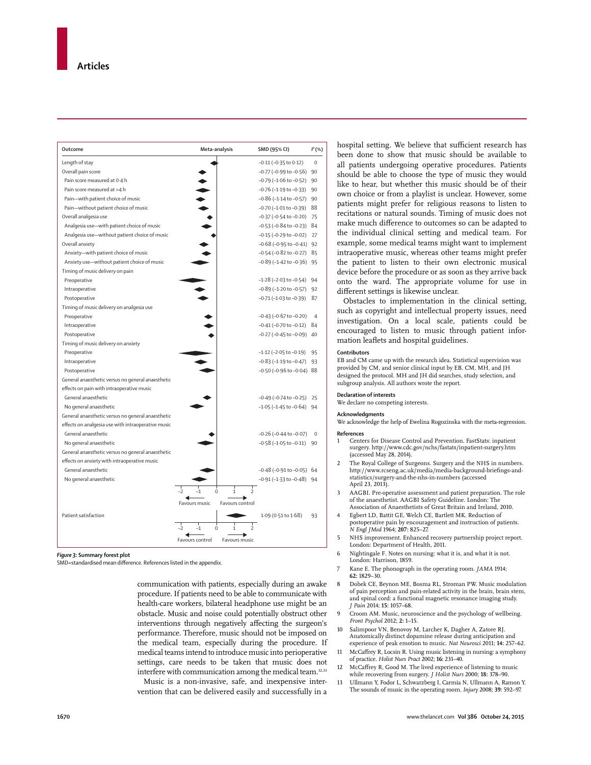| Outcome                                            | Meta-analysis<br>SMD (95% CI)                                                                              | $I^2(\% )$  |
|----------------------------------------------------|------------------------------------------------------------------------------------------------------------|-------------|
| Length of stay                                     | $-0.11$ ( $-0.35$ to $0.12$ )                                                                              | $\mathbf 0$ |
| Overall pain score                                 | $-0.77$ ( $-0.99$ to $-0.56$ )                                                                             | 90          |
| Pain score measured at 0-4 h                       | $-0.79$ ( $-1.06$ to $-0.52$ )                                                                             | 90          |
| Pain score measured at >4 h                        | $-0.76$ ( $-1.19$ to $-0.33$ )                                                                             | 90          |
| Pain-with patient choice of music                  | $-0.86$ ( $-1.14$ to $-0.57$ )                                                                             | 90          |
| Pain-without patient choice of music               | $-0.70$ ( $-1.01$ to $-0.39$ )                                                                             | 88          |
| Overall analgesia use                              | $-0.37$ ( $-0.54$ to $-0.20$ )                                                                             | 75          |
| Analgesia use-with patient choice of music         | $-0.53$ ( $-0.84$ to $-0.23$ )                                                                             | 84          |
| Analgesia use-without patient choice of music      | $-0.15$ ( $-0.29$ to $-0.02$ )                                                                             | 27          |
| Overall anxiety                                    | $-0.68$ ( $-0.95$ to $-0.41$ ) 92                                                                          |             |
| Anxiety-with patient choice of music               | $-0.54$ ( $-0.82$ to $-0.27$ )                                                                             | 85          |
| Anxiety use-without patient choice of music        | $-0.89$ ( $-1.42$ to $-0.36$ ) 95                                                                          |             |
| Timing of music delivery on pain                   |                                                                                                            |             |
| Preoperative                                       | $-1.28$ ( $-2.03$ to $-0.54$ )                                                                             | 94          |
| Intraoperative                                     | $-0.89$ ( $-1.20$ to $-0.57$ )                                                                             | 92          |
| Postoperative                                      | $-0.71(-1.03$ to $-0.39$ )                                                                                 | 87          |
| Timing of music delivery on analgesia use          |                                                                                                            |             |
| Preoperative                                       | $-0.43$ ( $-0.67$ to $-0.20$ )                                                                             | 4           |
| Intraoperative                                     | $-0.41$ ( $-0.70$ to $-0.12$ )                                                                             | 84          |
| Postoperative                                      | $-0.27$ ( $-0.45$ to $-0.09$ )                                                                             | 40          |
| Timing of music delivery on anxiety                |                                                                                                            |             |
| Preoperative                                       | $-1.12$ ( $-2.05$ to $-0.19$ )                                                                             | 95          |
| Intraoperative                                     | $-0.83$ ( $-1.19$ to $-0.47$ )                                                                             | 93          |
| Postoperative                                      | $-0.50$ ( $-0.96$ to $-0.04$ ) 88                                                                          |             |
| General anaesthetic versus no general anaesthetic  |                                                                                                            |             |
| effects on pain with intraoperative music          |                                                                                                            |             |
| General anaesthetic                                | $-0.49$ ( $-0.74$ to $-0.25$ ) 25                                                                          |             |
| No general anaesthetic                             | $-1.05$ ( $-1.45$ to $-0.64$ ) 94                                                                          |             |
| General anaesthetic versus no general anaesthetic  |                                                                                                            |             |
| effects on analgesia use with intraoperative music |                                                                                                            |             |
| General anaesthetic                                | $-0.26$ ( $-0.44$ to $-0.07$ )                                                                             | 0           |
| No general anaesthetic                             | $-0.58$ ( $-1.05$ to $-0.11$ )                                                                             | 90          |
| General anaesthetic versus no general anaesthetic  |                                                                                                            |             |
| effects on anxiety with intraoperative music       |                                                                                                            |             |
| General anaesthetic                                | $-0.48$ ( $-0.91$ to $-0.05$ ) 64                                                                          |             |
| No general anaesthetic                             | $-0.91(-1.33$ to $-0.48$ ) 94                                                                              |             |
|                                                    | -2<br>$\Omega$<br>1<br>$\overline{\phantom{a}}$<br>$-1$<br>Favours music<br>Favours control                |             |
| Patient satisfaction                               | 1.09 (0.51 to 1.68)<br>$-2$<br>$-1$<br>$\Omega$<br>$\overline{2}$<br>1<br>Favours control<br>Favours music | 93          |

*Figure 3:* **Summary forest plot**

SMD=standardised mean difference. References listed in the appendix.

communication with patients, especially during an awake procedure. If patients need to be able to communicate with health-care workers, bilateral headphone use might be an obstacle. Music and noise could potentially obstruct other interventions through negatively affecting the surgeon's performance. Therefore, music should not be imposed on the medical team, especially during the procedure. If medical teams intend to introduce music into perioperative settings, care needs to be taken that music does not interfere with communication among the medical team. $^{32,33}$ 

Music is a non-invasive, safe, and inexpensive intervention that can be delivered easily and successfully in a hospital setting. We believe that sufficient research has been done to show that music should be available to all patients undergoing operative procedures. Patients should be able to choose the type of music they would like to hear, but whether this music should be of their own choice or from a playlist is unclear. However, some patients might prefer for religious reasons to listen to recitations or natural sounds. Timing of music does not make much difference to outcomes so can be adapted to the individual clinical setting and medical team. For example, some medical teams might want to implement intraoperative music, whereas other teams might prefer the patient to listen to their own electronic musical device before the procedure or as soon as they arrive back onto the ward. The appropriate volume for use in different settings is likewise unclear.

Obstacles to implementation in the clinical setting, such as copyright and intellectual property issues, need investigation. On a local scale, patients could be encouraged to listen to music through patient information leaflets and hospital guidelines.

#### **Contributors**

EB and CM came up with the research idea. Statistical supervision was provided by CM, and senior clinical input by EB. CM, MH, and JH designed the protocol. MH and JH did searches, study selection, and subgroup analysis. All authors wrote the report.

#### **Declaration of interests**

We declare no competing interests.

# **Acknowledgments**

We acknowledge the help of Ewelina Rogozinska with the meta-regression.

- **References**
	- 1 Centers for Disease Control and Prevention. FastStats: inpatient surgery. http://www.cdc.gov/nchs/fastats/inpatient-surgery.htm (accessed May 28, 2014).
- 2 The Royal College of Surgeons. Surgery and the NHS in numbers. http://www.rcseng.ac.uk/media/media-background-briefings-andstatistics/surgery-and-the-nhs-in-numbers (accessed April 23, 2013).
- AAGBI. Pre-operative assessment and patient preparation. The role of the anaesthetist. AAGBI Safety Guideline. London: The Association of Anaesthetists of Great Britain and Ireland, 2010.
- 4 Egbert LD, Battit GE, Welch CE, Bartlett MK. Reduction of postoperative pain by encouragement and instruction of patients. *N Engl JMed* 1964; **207:** 825–27.
- 5 NHS improvement. Enhanced recovery partnership project report. London: Department of Health, 2011.
- 6 Nightingale F. Notes on nursing: what it is, and what it is not. London: Harrison, 1859.
- 7 Kane E. The phonograph in the operating room. *JAMA* 1914; **62:** 1829–30.
- 8 Dobek CE, Beynon ME, Bosma RL, Stroman PW. Music modulation of pain perception and pain-related activity in the brain, brain stem, and spinal cord: a functional magnetic resonance imaging study. *J Pain* 2014; **15:** 1057–68.
- 9 Croom AM. Music, neuroscience and the psychology of wellbeing. *Front Psychol* 2012; **2:** 1–15.
- Salimpoor VN, Benovoy M, Larcher K, Dagher A, Zatore RJ. Anatomically distinct dopamine release during anticipation and experience of peak emotion to music. *Nat Neurosci* 2011; **14:** 257–62.
- 11 McCaffrey R, Locsin R. Using music listening in nursing: a symphony of practice. *Holist Nurs Pract* 2002; **16:** 231–40.
- 12 McCaffrey R, Good M. The lived experience of listening to music while recovering from surgery. *J Holist Nurs* 2000; **18:** 378–90.
- 13 Ullmann Y, Fodor L, Schwarzberg I, Carmia N, Ullmann A, Ramon Y. The sounds of music in the operating room. *Injury* 2008; **39:** 592–97.